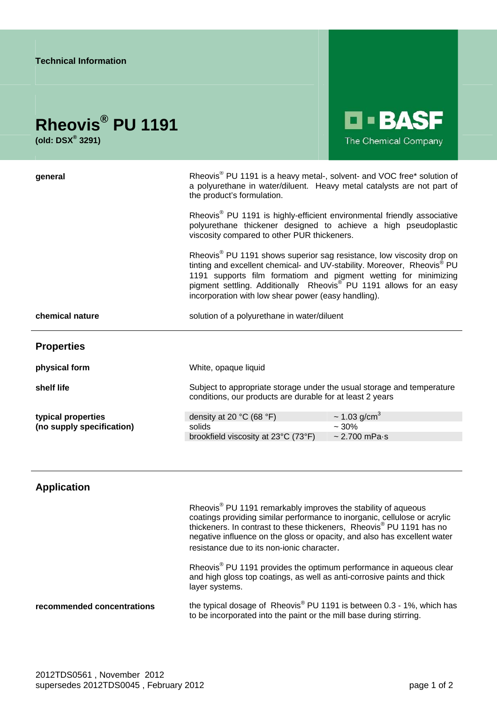| <b>Technical Information</b>  |                                                                                                                                                                                                                                                                                                                                                                                      |                               |
|-------------------------------|--------------------------------------------------------------------------------------------------------------------------------------------------------------------------------------------------------------------------------------------------------------------------------------------------------------------------------------------------------------------------------------|-------------------------------|
| Rheovis <sup>®</sup> PU 1191  |                                                                                                                                                                                                                                                                                                                                                                                      | <b>LI-BASF</b>                |
| (old: $DSX^{\circledR}$ 3291) |                                                                                                                                                                                                                                                                                                                                                                                      | The Chemical Company          |
| general                       | Rheovis <sup>®</sup> PU 1191 is a heavy metal-, solvent- and VOC free* solution of<br>a polyurethane in water/diluent. Heavy metal catalysts are not part of<br>the product's formulation.                                                                                                                                                                                           |                               |
|                               | Rheovis <sup>®</sup> PU 1191 is highly-efficient environmental friendly associative<br>polyurethane thickener designed to achieve a high pseudoplastic<br>viscosity compared to other PUR thickeners.                                                                                                                                                                                |                               |
|                               | Rheovis <sup>®</sup> PU 1191 shows superior sag resistance, low viscosity drop on<br>tinting and excellent chemical- and UV-stability. Moreover, Rheovis <sup>®</sup> PU<br>1191 supports film formatiom and pigment wetting for minimizing<br>pigment settling. Additionally Rheovis <sup>®</sup> PU 1191 allows for an easy<br>incorporation with low shear power (easy handling). |                               |
| chemical nature               | solution of a polyurethane in water/diluent                                                                                                                                                                                                                                                                                                                                          |                               |
| <b>Properties</b>             |                                                                                                                                                                                                                                                                                                                                                                                      |                               |
| physical form                 | White, opaque liquid                                                                                                                                                                                                                                                                                                                                                                 |                               |
| shelf life                    | Subject to appropriate storage under the usual storage and temperature<br>conditions, our products are durable for at least 2 years                                                                                                                                                                                                                                                  |                               |
| typical properties            | density at 20 °C (68 °F)                                                                                                                                                                                                                                                                                                                                                             | $\sim$ 1.03 g/cm <sup>3</sup> |
| (no supply specification)     | solids                                                                                                                                                                                                                                                                                                                                                                               | $~1.30\%$                     |
|                               | brookfield viscosity at 23°C (73°F)                                                                                                                                                                                                                                                                                                                                                  | $\sim$ 2.700 mPa $\cdot$ s    |

## **Application**

Rheovis<sup>®</sup> PU 1191 remarkably improves the stability of aqueous coatings providing similar performance to inorganic, cellulose or acrylic thickeners. In contrast to these thickeners, Rheovis® PU 1191 has no negative influence on the gloss or opacity, and also has excellent water resistance due to its non-ionic character. Rheovis<sup>®</sup> PU 1191 provides the optimum performance in aqueous clear and high gloss top coatings, as well as anti-corrosive paints and thick layer systems. **recommended concentrations** the typical dosage of Rheovis® PU 1191 is between 0.3 - 1%, which has to be incorporated into the paint or the mill base during stirring.